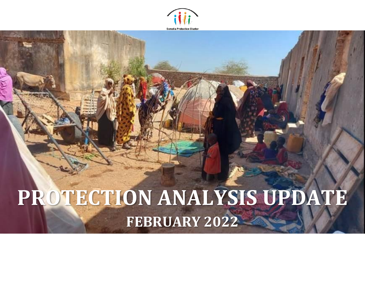

# **PROTECTION ANALYSIS UPDATE FEBRUARY 2022**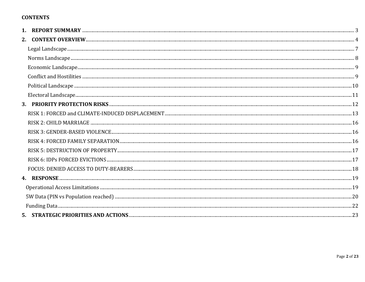# **CONTENTS**

| 2. |  |
|----|--|
|    |  |
|    |  |
|    |  |
|    |  |
|    |  |
|    |  |
|    |  |
|    |  |
|    |  |
|    |  |
|    |  |
|    |  |
|    |  |
|    |  |
|    |  |
|    |  |
|    |  |
|    |  |
|    |  |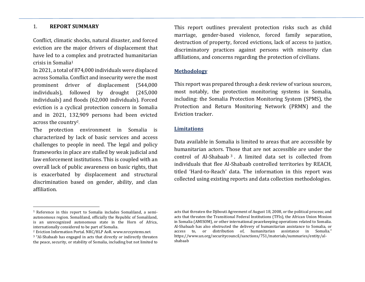#### <span id="page-2-0"></span>1. **REPORT SUMMARY**

Conflict, climatic shocks, natural disaster, and forced eviction are the major drivers of displacement that have led to a complex and protracted humanitarian crisis in Somalia<sup>1</sup>

In 2021, a total of 874,000 individuals were displaced across Somalia. Conflict and insecurity were the most prominent driver of displacement (544,000 individuals), followed by drought (245,000 individuals) and floods (62,000 individuals). Forced eviction is a cyclical protection concern in Somalia and in 2021, 132,909 persons had been evicted across the country<sup>2</sup>.

The protection environment in Somalia is characterized by lack of basic services and access challenges to people in need. The legal and policy frameworks in place are stalled by weak judicial and law enforcement institutions. This is coupled with an overall lack of public awareness on basic rights, that is exacerbated by displacement and structural discrimination based on gender, ability, and clan affiliation.

This report outlines prevalent protection risks such as child marriage, gender-based violence, forced family separation, destruction of property, forced evictions, lack of access to justice, discriminatory practices against persons with minority clan affiliations, and concerns regarding the protection of civilians.

## **Methodology**

This report was prepared through a desk review of various sources, most notably, the protection monitoring systems in Somalia, including: the Somalia Protection Monitoring System (SPMS), the Protection and Return Monitoring Network (PRMN) and the Eviction tracker.

#### **Limitations**

Data available in Somalia is limited to areas that are accessible by humanitarian actors. Those that are not accessible are under the control of Al-Shabaab <sup>3</sup> . A limited data set is collected from individuals that flee Al-Shabaab controlled territories by REACH, titled 'Hard-to-Reach' data. The information in this report was collected using existing reports and data collection methodologies.

<sup>1</sup> Reference in this report to Somalia includes Somaliland, a semiautonomous region. Somaliland, officially the Republic of Somaliland, is an unrecognized autonomous state in the Horn of Africa, internationally considered to be part of Somalia.

<sup>2</sup> Eviction Information Portal. NRC/HLP AoR[. www.nrcsystems.net.](http://www.nrcsystems.net/)

<sup>&</sup>lt;sup>3</sup> "Al-Shabaab has engaged in acts that directly or indirectly threaten the peace, security, or stability of Somalia, including but not limited to

acts that threaten the Djibouti Agreement of August 18, 2008, or the political process; and acts that threaten the Transitional Federal Institutions (TFIs), the African Union Mission in Somalia (AMISOM), or other international peacekeeping operations related to Somalia. Al-Shabaab has also obstructed the delivery of humanitarian assistance to Somalia, or access to, or distribution of, humanitarian assistance in Somalia." [https://www.un.org/securitycouncil/sanctions/751/materials/summaries/entity/al](https://www.un.org/securitycouncil/sanctions/751/materials/summaries/entity/al-shabaab)[shabaab](https://www.un.org/securitycouncil/sanctions/751/materials/summaries/entity/al-shabaab)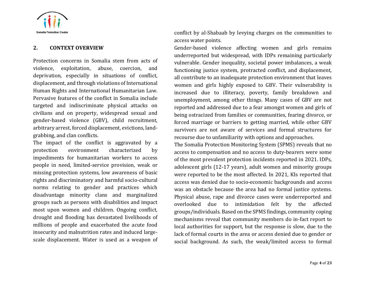

#### <span id="page-3-0"></span>**2. CONTEXT OVERVIEW**

Protection concerns in Somalia stem from acts of violence, exploitation, abuse, coercion, and deprivation, especially in situations of conflict, displacement, and through violations of International Human Rights and International Humanitarian Law. Pervasive features of the conflict in Somalia include targeted and indiscriminate physical attacks on civilians and on property, widespread sexual and gender-based violence (GBV), child recruitment, arbitrary arrest, forced displacement, evictions, landgrabbing, and clan conflicts.

The impact of the conflict is aggravated by a protection environment characterized by impediments for humanitarian workers to access people in need, limited-service provision, weak or missing protection systems, low awareness of basic rights and discriminatory and harmful socio-cultural norms relating to gender and practices which disadvantage minority clans and marginalized groups such as persons with disabilities and impact most upon women and children. Ongoing conflict, drought and flooding has devastated livelihoods of millions of people and exacerbated the acute food insecurity and malnutrition rates and induced largescale displacement. Water is used as a weapon of conflict by al-Shabaab by levying charges on the communities to access water points.

Gender-based violence affecting women and girls remains underreported but widespread, with IDPs remaining particularly vulnerable. Gender inequality, societal power imbalances, a weak functioning justice system, protracted conflict, and displacement, all contribute to an inadequate protection environment that leaves women and girls highly exposed to GBV. Their vulnerability is increased due to illiteracy, poverty, family breakdown and unemployment, among other things. Many cases of GBV are not reported and addressed due to a fear amongst women and girls of being ostracized from families or communities, fearing divorce, or forced marriage or barriers to getting married, while other GBV survivors are not aware of services and formal structures for recourse due to unfamiliarity with options and approaches.

The Somalia Protection Monitoring System (SPMS) reveals that no access to compensation and no access to duty-bearers were some of the most prevalent protection incidents reported in 2021. IDPs, adolescent girls (12-17 years), adult women and minority groups were reported to be the most affected. In 2021, KIs reported that access was denied due to socio-economic backgrounds and access was an obstacle because the area had no formal justice systems. Physical abuse, rape and divorce cases were underreported and overlooked due to intimidation felt by the affected groups/individuals. Based on the SPMS findings, community coping mechanisms reveal that community members do in-fact report to local authorities for support, but the response is slow, due to the lack of formal courts in the area or access denied due to gender or social background. As such, the weak/limited access to formal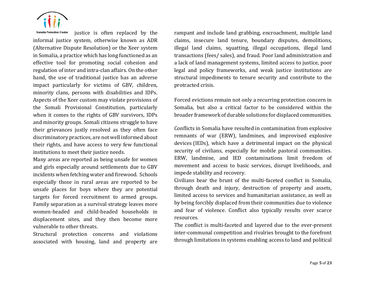

justice is often replaced by the **Somalia Protection Cluster** informal justice system, otherwise known as ADR (Alternative Dispute Resolution) or the Xeer system in Somalia, a practice which has long functioned as an effective tool for promoting social cohesion and regulation of inter and intra-clan affairs. On the other hand, the use of traditional justice has an adverse impact particularly for victims of GBV, children, minority clans, persons with disabilities and IDPs. Aspects of the Xeer custom may violate provisions of the Somali Provisional Constitution, particularly when it comes to the rights of GBV survivors, IDPs and minority groups. Somali citizens struggle to have their grievances justly resolved as they often face discriminatory practices, are not well informed about their rights, and have access to very few functional institutions to meet their justice needs.

Many areas are reported as being unsafe for women and girls especially around settlements due to GBV incidents when fetching water and firewood. Schools especially those in rural areas are reported to be unsafe places for boys where they are potential targets for forced recruitment to armed groups. Family separation as a survival strategy leaves more women-headed and child-headed households in displacement sites, and they then become more vulnerable to other threats.

Structural protection concerns and violations associated with housing, land and property are

rampant and include land grabbing, encroachment, multiple land claims, insecure land tenure, boundary disputes, demolitions, illegal land claims, squatting, illegal occupations, illegal land transactions (fees/ sales), and fraud. Poor land administration and a lack of land management systems, limited access to justice, poor legal and policy frameworks, and weak justice institutions are structural impediments to tenure security and contribute to the protracted crisis.

Forced evictions remain not only a recurring protection concern in Somalia, but also a critical factor to be considered within the broader framework of durable solutions for displaced communities.

Conflicts in Somalia have resulted in contamination from explosive remnants of war (ERW), landmines, and improvised explosive devices (IEDs), which have a detrimental impact on the physical security of civilians, especially for mobile pastoral communities. ERW, landmine, and IED contaminations limit freedom of movement and access to basic services, disrupt livelihoods, and impede stability and recovery.

Civilians bear the brunt of the multi-faceted conflict in Somalia, through death and injury, destruction of property and assets, limited access to services and humanitarian assistance, as well as by being forcibly displaced from their communities due to violence and fear of violence. Conflict also typically results over scarce resources.

The conflict is multi-faceted and layered due to the ever-present inter-communal competition and rivalries brought to the forefront through limitations in systems enabling access to land and political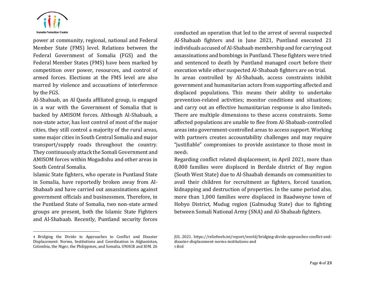

power at community, regional, national and Federal Member State (FMS) level. Relations between the Federal Government of Somalia (FGS) and the Federal Member States (FMS) have been marked by competition over power, resources, and control of armed forces. Elections at the FMS level are also marred by violence and accusations of interference by the FGS.

Al-Shabaab, an Al Qaeda affiliated group, is engaged in a war with the Government of Somalia that is backed by AMISOM forces. Although Al-Shabaab, a non-state actor, has lost control of most of the major cities, they still control a majority of the rural areas, some major cities in South Central Somalia and major transport/supply roads throughout the country. They continuously attack the Somali Government and AMISOM forces within Mogadishu and other areas in South Central Somalia.

Islamic State fighters, who operate in Puntland State in Somalia, have reportedly broken away from Al-Shabaab and have carried out assassinations against government officials and businessmen. Therefore, in the Puntland State of Somalia, two non-state armed groups are present, both the Islamic State Fighters and Al-Shabaab. Recently, Puntland security forces

with partners creates accountability challenges and may require "justifiable" compromises to provide assistance to those most in need5. Regarding conflict related displacement, in April 2021, more than 8,000 families were displaced in Berdale district of Bay region (South West State) due to Al-Shaabab demands on communities to

avail their children for recruitment as fighters, forced taxation, kidnapping and destruction of properties. In the same period also, more than 1,000 families were displaced in Baadweyne town of Hobyo District, Mudug region (Galmudug State) due to fighting between Somali National Army (SNA) and Al-Shabaab fighters.

conducted an operation that led to the arrest of several suspected Al-Shabaab fighters and in June 2021, Puntland executed 21 individuals accused of Al-Shabaab membership and for carrying out assassinations and bombings in Puntland. These fighters were tried and sentenced to death by Puntland managed court before their execution while other suspected Al-Shabaab fighters are on trial. In areas controlled by Al-Shabaab, access constraints inhibit government and humanitarian actors from supporting affected and displaced populations. This means their ability to undertake prevention-related activities; monitor conditions and situations; and carry out an effective humanitarian response is also limited4. There are multiple dimensions to these access constraints. Some affected populations are unable to flee from Al-Shabaab-controlled areas into government-controlled areas to access support. Working

<sup>4</sup> Bridging the Divide in Approaches to Conflict and Disaster Displacement: Norms, Institutions and Coordination in Afghanistan, Colombia, the Niger, the Philippines, and Somalia. UNHCR and IOM. 26

JUL 2021. [https://reliefweb.int/report/world/bridging-divide-approaches-conflict-and](https://reliefweb.int/report/world/bridging-divide-approaches-conflict-and-disaster-displacement-norms-institutions-and)[disaster-displacement-norms-institutions-and](https://reliefweb.int/report/world/bridging-divide-approaches-conflict-and-disaster-displacement-norms-institutions-and) 5 ibid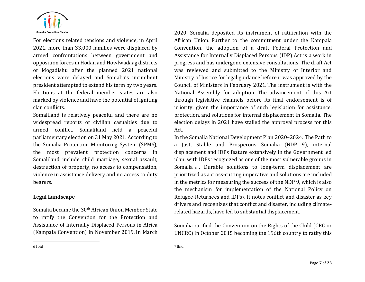

For elections related tensions and violence, in April 2021, more than 33,000 families were displaced by armed confrontations between government and opposition forces in Hodan and Howlwadaag districts of Mogadishu after the planned 2021 national elections were delayed and Somalia's incumbent president attempted to extend his term by two years. Elections at the federal member states are also marked by violence and have the potential of igniting clan conflicts.

Somaliland is relatively peaceful and there are no widespread reports of civilian casualties due to armed conflict. Somaliland held a peaceful parliamentary election on 31 May 2021. According to the Somalia Protection Monitoring System (SPMS), the most prevalent protection concerns in Somaliland include child marriage, sexual assault, destruction of property, no access to compensation, violence in assistance delivery and no access to duty bearers.

# <span id="page-6-0"></span>**Legal Landscape**

Somalia became the 30th African Union Member State to ratify the Convention for the Protection and Assistance of Internally Displaced Persons in Africa (Kampala Convention) in November 2019. In March 2020, Somalia deposited its instrument of ratification with the African Union. Further to the commitment under the Kampala Convention, the adoption of a draft Federal Protection and Assistance for Internally Displaced Persons (IDP) Act is a work in progress and has undergone extensive consultations. The draft Act was reviewed and submitted to the Ministry of Interior and Ministry of Justice for legal guidance before it was approved by the Council of Ministers in February 2021. The instrument is with the National Assembly for adoption. The advancement of this Act through legislative channels before its final endorsement is of priority, given the importance of such legislation for assistance, protection, and solutions for internal displacement in Somalia. The election delays in 2021 have stalled the approval process for this Act.

In the Somalia National Development Plan 2020–2024: The Path to a Just, Stable and Prosperous Somalia (NDP 9), internal displacement and IDPs feature extensively in the Government led plan, with IDPs recognized as one of the most vulnerable groups in Somalia 6. Durable solutions to long-term displacement are prioritized as a cross-cutting imperative and solutions are included in the metrics for measuring the success of the NDP 9, which is also the mechanism for implementation of the National Policy on Refugee-Returnees and IDPs7. It notes conflict and disaster as key drivers and recognizes that conflict and disaster, including climaterelated hazards, have led to substantial displacement.

Somalia ratified the Convention on the Rights of the Child (CRC or UNCRC) in October 2015 becoming the 196th country to ratify this

7 Ibid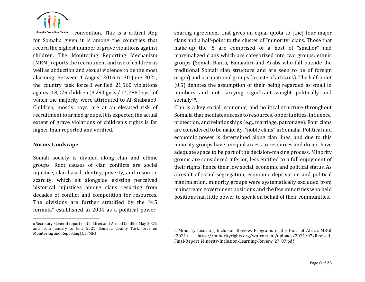

**Somalia Protection Cluster** convention. This is a critical step for Somalia given it is among the countries that record the highest number of grave violations against children. The Monitoring Reporting Mechanism (MRM) reports the recruitment and use of children as well as abduction and sexual violence to be the most alarming. Between 1 August 2016 to 30 June 2021, the country task force 8 verified 21,560 violations against 18,079 children (3,291 girls / 14,788 boys) of which the majority were attributed to Al-Shabaab9. Children, mostly boys, are at an elevated risk of recruitment to armed groups. It is expected the actual extent of grave violations of children's rights is far higher than reported and verified.

#### <span id="page-7-0"></span>**Norms Landscape**

Somali society is divided along clan and ethnic groups. Root causes of clan conflicts are social injustice, clan-based identity, poverty, and resource scarcity, which sit alongside existing perceived historical injustices among clans resulting from decades of conflict and competition for resources. The divisions are further stratified by the "4.5 formula" established in 2004 as a political powersharing agreement that gives an equal quota to [the] four major clans and a half-point to the cluster of "minority" clans. Those that make-up the .5 are comprised of a host of "smaller" and marginalized clans which are categorized into two groups: ethnic groups (Somali Bantu, Banaadiri and Arabs who fall outside the traditional Somali clan structure and are seen to be of foreign origin) and occupational groups (a caste of artisans). The half-point (0.5) denotes the assumption of their being regarded as small in numbers and not carrying significant weight politically and socially<sup>10</sup>.

Clan is a key social, economic, and political structure throughout Somalia that mediates access to resources, opportunities, influence, protection, and relationships (e.g., marriage, patronage). Four clans are considered to be majority, "noble clans" in Somalia. Political and economic power is determined along clan lines, and due to this minority groups have unequal access to resources and do not have adequate space to be part of the decision-making process. Minority groups are considered inferior, less entitled to a full enjoyment of their rights, hence their low social, economic and political status. As a result of social segregation, economic deprivation and political manipulation, minority groups were systematically excluded from mainstream government positions and the few minorities who held positions had little power to speak on behalf of their communities.

<sup>8</sup> Secretary-General report on Children and Armed Conflict May 2021; and from January to June 2021, Somalia County Task force on Monitoring and Reporting (CTFMR)

<sup>10</sup> Minority Learning Inclusion Review. Programs in the Horn of Africa. MRGI (2021). https://minorityrights.org/wp-content/uploads/2021/07/Revised-Final-Report\_Minority-Inclusion-Learning-Review\_27\_07.pdf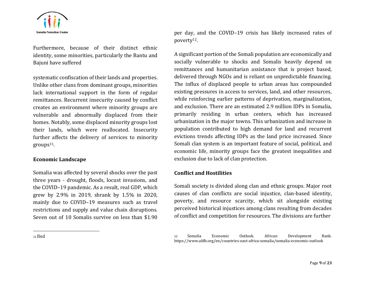

Furthermore, because of their distinct ethnic identity, some minorities, particularly the Bantu and Bajuni have suffered

systematic confiscation of their lands and properties. Unlike other clans from dominant groups, minorities lack international support in the form of regular remittances. Recurrent insecurity caused by conflict creates an environment where minority groups are vulnerable and abnormally displaced from their homes. Notably, some displaced minority groups lost their lands, which were reallocated. Insecurity further affects the delivery of services to minority  $groups<sup>11</sup>$ .

#### <span id="page-8-0"></span>**Economic Landscape**

Somalia was affected by several shocks over the past three years - drought, floods, locust invasions, and the COVID–19 pandemic. As a result, real GDP, which grew by 2.9% in 2019, shrank by 1.5% in 2020, mainly due to COVID–19 measures such as travel restrictions and supply and value chain disruptions. Seven out of 10 Somalis survive on less than \$1.90

A significant portion of the Somali population are economically and socially vulnerable to shocks and Somalis heavily depend on remittances and humanitarian assistance that is project based, delivered through NGOs and is reliant on unpredictable financing. The influx of displaced people to urban areas has compounded existing pressures in access to services, land, and other resources, while reinforcing earlier patterns of deprivation, marginalization, and exclusion. There are an estimated 2.9 million IDPs in Somalia, primarily residing in urban centers, which has increased urbanization in the major towns. This urbanization and increase in population contributed to high demand for land and recurrent evictions trends affecting IDPs as the land price increased. Since Somali clan system is an important feature of social, political, and economic life, minority groups face the greatest inequalities and exclusion due to lack of clan protection.

#### <span id="page-8-1"></span>**Conflict and Hostilities**

Somali society is divided along clan and ethnic groups. Major root causes of clan conflicts are social injustice, clan-based identity, poverty, and resource scarcity, which sit alongside existing perceived historical injustices among clans resulting from decades of conflict and competition for resources. The divisions are further

per day, and the COVID–19 crisis has likely increased rates of poverty12.

<sup>11</sup> Ibid

<sup>12</sup> Somalia Economic Outlook. African Development Bank. <https://www.afdb.org/en/countries-east-africa-somalia/somalia-economic-outlook>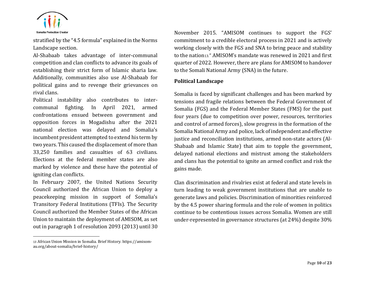

stratified by the "4.5 formula" explained in the Norms Landscape section.

Al-Shabaab takes advantage of inter-communal competition and clan conflicts to advance its goals of establishing their strict form of Islamic sharia law. Additionally, communities also use Al-Shabaab for political gains and to revenge their grievances on rival clans.

Political instability also contributes to intercommunal fighting. In April 2021, armed confrontations ensued between government and opposition forces in Mogadishu after the 2021 national election was delayed and Somalia's incumbent president attempted to extend his term by two years. This caused the displacement of more than 33,250 families and casualties of 63 civilians. Elections at the federal member states are also marked by violence and these have the potential of igniting clan conflicts.

In February 2007, the United Nations Security Council authorized the African Union to deploy a peacekeeping mission in support of Somalia's Transitory Federal Institutions (TFIs). The Security Council authorized the Member States of the African Union to maintain the deployment of AMISOM, as set out in paragraph 1 of resolution 2093 (2013) until 30

November 2015. "AMISOM continues to support the FGS' commitment to a credible electoral process in 2021 and is actively working closely with the FGS and SNA to bring peace and stability to the nation13." AMISOM's mandate was renewed in 2021 and first quarter of 2022. However, there are plans for AMISOM to handover to the Somali National Army (SNA) in the future.

## <span id="page-9-0"></span>**Political Landscape**

Somalia is faced by significant challenges and has been marked by tensions and fragile relations between the Federal Government of Somalia (FGS) and the Federal Member States (FMS) for the past four years (due to competition over power, resources, territories and control of armed forces), slow progress in the formation of the Somalia National Army and police, lack of independent and effective justice and reconciliation institutions, armed non-state actors (Al-Shabaab and Islamic State) that aim to topple the government, delayed national elections and mistrust among the stakeholders and clans has the potential to ignite an armed conflict and risk the gains made.

Clan discrimination and rivalries exist at federal and state levels in turn leading to weak government institutions that are unable to generate laws and policies. Discrimination of minorities reinforced by the 4.5 power sharing formula and the role of women in politics continue to be contentious issues across Somalia. Women are still under-represented in governance structures (at 24%) despite 30%

<sup>13</sup> African Union Mission in Somalia. Brief History[. https://amisom](https://amisom-au.org/about-somalia/brief-history/)[au.org/about-somalia/brief-history/](https://amisom-au.org/about-somalia/brief-history/)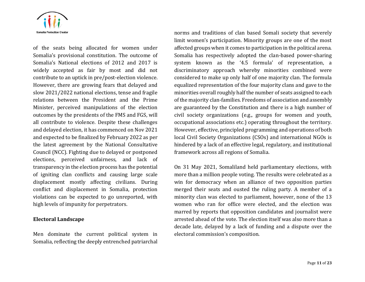

of the seats being allocated for women under Somalia's provisional constitution. The outcome of Somalia's National elections of 2012 and 2017 is widely accepted as fair by most and did not contribute to an uptick in pre/post-election violence. However, there are growing fears that delayed and slow 2021/2022 national elections, tense and fragile relations between the President and the Prime Minister, perceived manipulations of the election outcomes by the presidents of the FMS and FGS, will all contribute to violence. Despite these challenges and delayed election, it has commenced on Nov 2021 and expected to be finalized by February 2022 as per the latest agreement by the National Consultative Council (NCC). Fighting due to delayed or postponed elections, perceived unfairness, and lack of transparency in the election process has the potential of igniting clan conflicts and causing large scale displacement mostly affecting civilians. During conflict and displacement in Somalia, protection violations can be expected to go unreported, with high levels of impunity for perpetrators.

#### <span id="page-10-0"></span>**Electoral Landscape**

Men dominate the current political system in Somalia, reflecting the deeply entrenched patriarchal norms and traditions of clan based Somali society that severely limit women's participation. Minority groups are one of the most affected groups when it comes to participation in the political arena. Somalia has respectively adopted the clan-based power-sharing system known as the '4.5 formula' of representation, a discriminatory approach whereby minorities combined were considered to make up only half of one majority clan. The formula equalized representation of the four majority clans and gave to the minorities overall roughly half the number of seats assigned to each of the majority clan-families. Freedoms of association and assembly are guaranteed by the Constitution and there is a high number of civil society organizations (e.g., groups for women and youth, occupational associations etc.) operating throughout the territory. However, effective, principled programming and operations of both local Civil Society Organizations (CSOs) and international NGOs is hindered by a lack of an effective legal, regulatory, and institutional framework across all regions of Somalia.

On 31 May 2021, Somaliland held parliamentary elections, with more than a million people voting. The results were celebrated as a win for democracy when an alliance of two opposition parties merged their seats and ousted the ruling party. A member of a minority clan was elected to parliament, however, none of the 13 women who ran for office were elected, and the election was marred by reports that opposition candidates and journalist were arrested ahead of the vote. The election itself was also more than a decade late, delayed by a lack of funding and a dispute over the electoral commission's composition.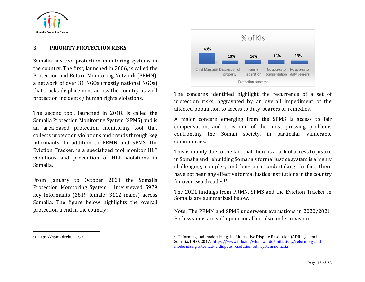

#### <span id="page-11-0"></span>**3. PRIORITY PROTECTION RISKS**

Somalia has two protection monitoring systems in the country. The first, launched in 2006, is called the Protection and Return Monitoring Network (PRMN), a network of over 31 NGOs (mostly national NGOs) that tracks displacement across the country as well protection incidents / human rights violations.

The second tool, launched in 2018, is called the Somalia Protection Monitoring System (SPMS) and is an area-based protection monitoring tool that collects protection violations and trends through key informants. In addition to PRMN and SPMS, the Eviction Tracker, is a specialized tool monitor HLP violations and prevention of HLP violations in Somalia.

From January to October 2021 the Somalia Protection Monitoring System <sup>14</sup> interviewed 5929 key informants (2819 female; 3112 males) across Somalia. The figure below highlights the overall protection trend in the country:

The concerns identified highlight the recurrence of a set of protection risks, aggravated by an overall impediment of the affected population to access to duty-bearers or remedies.

A major concern emerging from the SPMS is access to fair compensation, and it is one of the most pressing problems confronting the Somali society, in particular vulnerable communities.

This is mainly due to the fact that there is a lack of access to justice in Somalia and rebuilding Somalia's formal justice system is a highly challenging, complex, and long-term undertaking. In fact, there have not been any effective formal justice institutions in the country for over two decades15.

The 2021 findings from PRMN, SPMS and the Eviction Tracker in Somalia are summarized below.

Note: The PRMN and SPMS underwent evaluations in 2020/2021. Both systems are still operational but also under revision.

 $%$  of KIs 43% 15% 13% 13% 16% Child Marriage Destruction of Family No access to No access to property seperation compensation duty bearers Protection concerns

<sup>15</sup> Reforming and modernizing the Alternative Dispute Resolution (ADR) system in Somalia. IDLO. 2017. https://www.idlo.int/what-we-do/initiatives/reforming-andmodernizing-alternative-dispute-resolution-adr-system-somalia

<sup>14</sup> <https://spms.drchub.org/>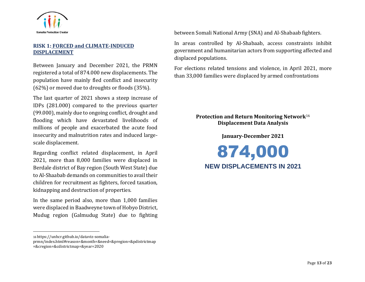

# <span id="page-12-0"></span>**RISK 1: FORCED and CLIMATE-INDUCED DISPLACEMENT**

Between January and December 2021, the PRMN registered a total of 874.000 new displacements. The population have mainly fled conflict and insecurity (62%) or moved due to droughts or floods (35%).

The last quarter of 2021 shows a steep increase of IDPs (281.000) compared to the previous quarter (99.000), mainly due to ongoing conflict, drought and flooding which have devastated livelihoods of millions of people and exacerbated the acute food insecurity and malnutrition rates and induced largescale displacement.

Regarding conflict related displacement, in April 2021, more than 8,000 families were displaced in Berdale district of Bay region (South West State) due to Al-Shaabab demands on communities to avail their children for recruitment as fighters, forced taxation, kidnapping and destruction of properties.

In the same period also, more than 1,000 families were displaced in Baadweyne town of Hobyo District, Mudug region (Galmudug State) due to fighting

16 [https://unhcr.github.io/dataviz-somalia-](https://unhcr.github.io/dataviz-somalia-prmn/index.html#reason=&month=&need=&pregion=&pdistrictmap=&cregion=&cdistrictmap=&year=2020)

[prmn/index.html#reason=&month=&need=&pregion=&pdistrictmap](https://unhcr.github.io/dataviz-somalia-prmn/index.html#reason=&month=&need=&pregion=&pdistrictmap=&cregion=&cdistrictmap=&year=2020) [=&cregion=&cdistrictmap=&year=2020](https://unhcr.github.io/dataviz-somalia-prmn/index.html#reason=&month=&need=&pregion=&pdistrictmap=&cregion=&cdistrictmap=&year=2020)

between Somali National Army (SNA) and Al-Shabaab fighters.

In areas controlled by Al-Shabaab, access constraints inhibit government and humanitarian actors from supporting affected and displaced populations.

For elections related tensions and violence, in April 2021, more than 33,000 families were displaced by armed confrontations

# **Protection and Return Monitoring Network**<sup>16</sup> **Displacement Data Analysis**

#### **January-December 2021**

874,000 **NEW DISPLACEMENTS IN 2021**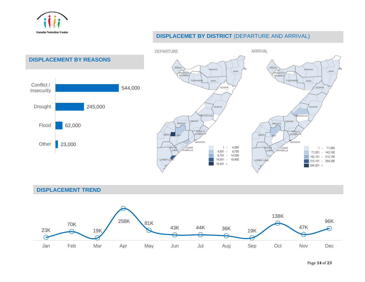

# **DISPLACEMET BY DISTRICT** (DEPARTURE AND ARRIVAL)



**DISPLACEMENT TREND**

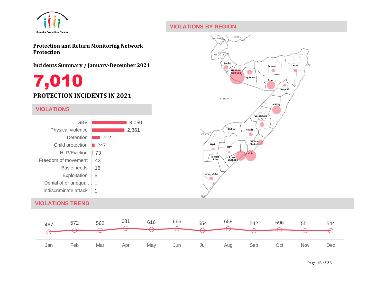

# <span id="page-14-0"></span>**VIOLATIONS BY REGION**

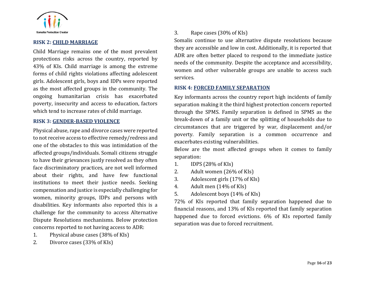

#### **RISK 2: CHILD MARRIAGE**

Child Marriage remains one of the most prevalent protections risks across the country, reported by 43% of KIs. Child marriage is among the extreme forms of child rights violations affecting adolescent girls. Adolescent girls, boys and IDPs were reported as the most affected groups in the community. The ongoing humanitarian crisis has exacerbated poverty, insecurity and access to education, factors which tend to increase rates of child marriage.

#### <span id="page-15-0"></span>**RISK 3: GENDER-BASED VIOLENCE**

Physical abuse, rape and divorce cases were reported to not receive access to effective remedy/redress and one of the obstacles to this was intimidation of the affected groups/individuals. Somali citizens struggle to have their grievances justly resolved as they often face discriminatory practices, are not well informed about their rights, and have few functional institutions to meet their justice needs. Seeking compensation and justice is especially challenging for women, minority groups, IDPs and persons with disabilities. Key informants also reported this is a challenge for the community to access Alternative Dispute Resolutions mechanisms. Below protection concerns reported to not having access to ADR:

- 1. Physical abuse cases (38% of KIs)
- 2. Divorce cases (33% of KIs)

#### 3. Rape cases (30% of KIs)

Somalis continue to use alternative dispute resolutions because they are accessible and low in cost. Additionally, it is reported that ADR are often better placed to respond to the immediate justice needs of the community. Despite the acceptance and accessibility, women and other vulnerable groups are unable to access such services.

#### <span id="page-15-1"></span>**RISK 4: FORCED FAMILY SEPARATION**

Key informants across the country report high incidents of family separation making it the third highest protection concern reported through the SPMS. Family separation is defined in SPMS as the break-down of a family unit or the splitting of households due to circumstances that are triggered by war, displacement and/or poverty. Family separation is a common occurrence and exacerbates existing vulnerabilities.

Below are the most affected groups when it comes to family separation:

- 1. IDPS (28% of KIs)
- 2. Adult women (26% of KIs)
- 3. Adolescent girls (17% of KIs)
- 4. Adult men (14% of KIs)
- 5. Adolescent boys (14% of KIs)

<span id="page-15-2"></span>72% of KIs reported that family separation happened due to financial reasons, and 13% of KIs reported that family separation happened due to forced evictions. 6% of KIs reported family separation was due to forced recruitment.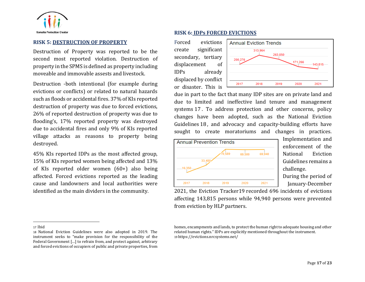

#### **RISK 5: DESTRUCTION OF PROPERTY**

Destruction of Property was reported to be the second most reported violation. Destruction of property in the SPMS is defined as property including moveable and immovable assests and livestock.

Destruction -both intentional (for example during evictions or conflicts) or related to natural hazards such as floods or accidental fires. 37% of KIs reported destruction of property was due to forced evictions, 26% of reported destruction of property was due to flooding's, 17% reported property was destroyed due to accidental fires and only 9% of KIs reported village attacks as reasons to property being destroyed.

45% KIs reported IDPs as the most affected group, 15% of KIs reported women being affected and 13% of KIs reported older women (60+) also being affected. Forced evictions reported as the leading cause and landowners and local authorities were identified as the main dividers in the community.

#### **RISK 6: IDPs FORCED EVICTIONS**

Forced evictions create significant secondary, tertiary displacement of IDPs already displaced by conflict or disaster. This is



due in part to the fact that many IDP sites are on private land and due to limited and ineffective land tenure and management systems 17 . To address protection and other concerns, policy changes have been adopted, such as the National Eviction Guidelines 18 , and advocacy and capacity-building efforts have sought to create moratoriums and changes in practices.



Implementation and enforcement of the National Eviction Guidelines remains a challenge.

During the period of January-December

2021, the Eviction Tracker19 recorded 696 incidents of evictions affecting 143,815 persons while 94,940 persons were prevented from eviction by HLP partners.

homes, encampments and lands, to protect the human right to adequate housing and other related human rights." IDPs are explicitly mentioned throughout the instrument. 19 <https://evictions.nrcsystems.net/>

<span id="page-16-0"></span><sup>17</sup> Ibid

<sup>18</sup> National Eviction Guidelines were also adopted in 2019. The instrument seeks to "make provision for the responsibility of the Federal Government […] to refrain from, and protect against, arbitrary and forced evictions of occupiers of public and private properties, from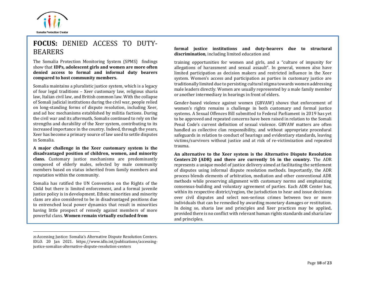

# <span id="page-17-0"></span>**FOCUS:** DENIED ACCESS TO DUTY-BEARERS

[The Somalia Protection Monitoring System \(SPMS\)](https://spms.drchub.org/) findings show that **IDPs, adolescent girls and women are more often denied access to formal and informal duty bearers compared to host community members.**

Somalia maintains a pluralistic justice system, which is a legacy of four legal traditions – Xeer customary law, religious sharia law, Italian civil law, and British common law. With the collapse of Somali judicial institutions during the civil war, people relied on long-standing forms of dispute resolution, including Xeer, and ad hoc mechanisms established by militia factions. During the civil war and its aftermath, Somalis continued to rely on the strengths and durability of the Xeer system, contributing to its increased importance in the country. Indeed, through the years, Xeer has become a primary source of law used to settle disputes in Somalia.

**A major challenge in the Xeer customary system is the disadvantaged position of children, women, and minority clans.** Customary justice mechanisms are predominantly composed of elderly males, selected by male community members based on status inherited from family members and reputation within the community.

Somalia has ratified the UN Convention on the Rights of the Child but there is limited enforcement, and a formal juvenile justice policy is in development. Ethnic minorities and minority clans are also considered to be in disadvantaged positions due to entrenched local power dynamics that result in minorities having little prospect of remedy against members of more powerful clans. **Women remain virtually excluded from** 

#### **formal justice institutions and duty-bearers due to structural discrimination**, including limited education and

training opportunities for women and girls, and a "culture of impunity for allegations of harassment and sexual assault". In general, women also have limited participation as decision makers and restricted influence in the Xeer system. Women's access and participation as parties in customary justice are traditionally limited due to persisting cultural stigma towards women addressing male leaders directly. Women are usually represented by a male family member or another intermediary in hearings in front of elders.

Gender-based violence against women (GBVAW) shows that enforcement of women's rights remains a challenge in both customary and formal justice systems. A Sexual Offences Bill submitted to Federal Parliament in 2019 has yet to be approved and repeated concerns have been raised in relation to the Somali Penal Code's current definition of sexual violence. GBVAW matters are often handled as collective clan responsibility, and without appropriate procedural safeguards in relation to conduct of hearings and evidentiary standards, leaving victims/survivors without justice and at risk of re-victimization and repeated trauma.

**An alternative to the Xeer system is the Alternative Dispute Resolution Centers 20 (ADR) and there are currently 16 in the country.** The ADR represents a unique model of justice delivery aimed at facilitating the settlement of disputes using informal dispute resolution methods. Importantly, the ADR process blends elements of arbitration, mediation and other conventional ADR methods while preserving alignment with customary norms and emphasizing consensus-building and voluntary agreement of parties. Each ADR Center has, within its respective district/region, the jurisdiction to hear and issue decisions over civil disputes and select non-serious crimes between two or more individuals that can be remedied by awarding monetary damages or restitution. In doing so, sharia law and principles and Xeer practices may be applied, provided there is no conflict with relevant human rights standards and sharia law and principles.

<sup>20</sup> Accessing Justice: Somalia's Alternative Dispute Resolution Centers. IDLO. 20 Jan 2021. [https://www.idlo.int/publications/accessing](https://www.idlo.int/publications/accessing-justice-somalias-alternative-dispute-resolution-centers)[justice-somalias-alternative-dispute-resolution-centers](https://www.idlo.int/publications/accessing-justice-somalias-alternative-dispute-resolution-centers)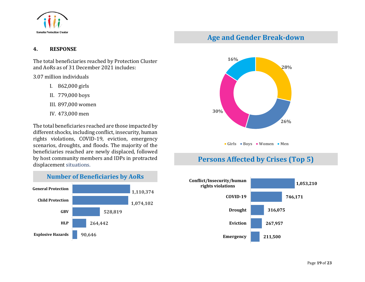

# <span id="page-18-1"></span>**Age and Gender Break-down**

## <span id="page-18-0"></span>**4. RESPONSE**

The total beneficiaries reached by Protection Cluster and AoRs as of 31 December 2021 includes:

#### 3.07 million individuals

- I. 862,000 girls
- II. 779,000 boys
- III. 897,000 women
- IV. 473,000 men

The total beneficiaries reached are those impacted by different shocks, including conflict, insecurity, human rights violations, COVID-19, eviction, emergency scenarios, droughts, and floods. The majority of the beneficiaries reached are newly displaced, followed by host community members and IDPs in protracted displacement situations.







# **Persons Affected by Crises (Top 5)**

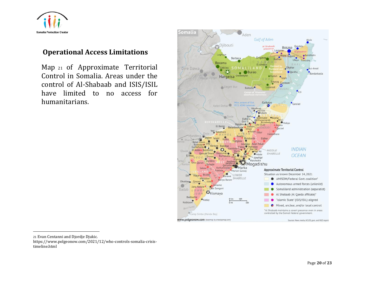

# **Operational Access Limitations**

<span id="page-19-0"></span>Map <sup>21</sup> of Approximate Territorial Control in Somalia. Areas under the control of Al-Shabaab and ISIS/ISIL have limited to no access for humanitarians.



<sup>21</sup> Evan Centanni and Djordje Djukic.

[https://www.polgeonow.com/2021/12/who-controls-somalia-crisis](https://www.polgeonow.com/2021/12/who-controls-somalia-crisis-timeline.html)[timeline.html](https://www.polgeonow.com/2021/12/who-controls-somalia-crisis-timeline.html)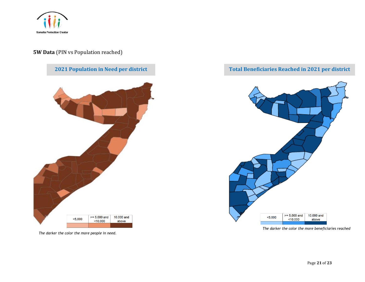

# **5W Data** (PIN vs Population reached)



*The darker the color the more people in need.* 

# <span id="page-20-0"></span>**Total Beneficiaries Reached in 2021 per district**



*The darker the color the more beneficiaries reached*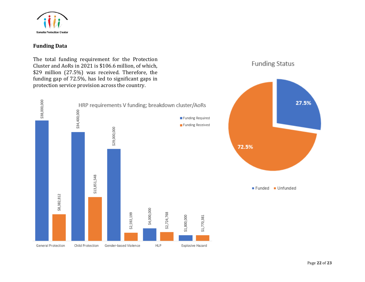

# **Funding Data**

The total funding requirement for the Protection Cluster and AoRs in 2021 is \$106.6 million, of which, \$29 million (27.5%) was received. Therefore, the funding gap of 72.5%, has led to significant gaps in protection service provision across the country.



**Funding Status**